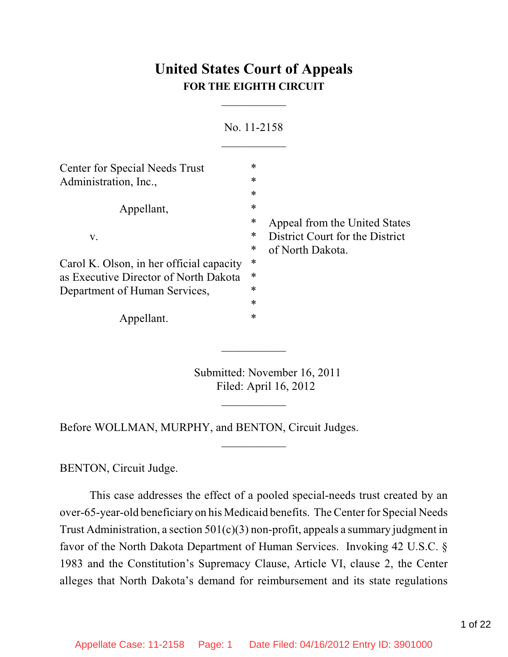# **United States Court of Appeals FOR THE EIGHTH CIRCUIT**

 $\overline{\phantom{a}}$ 

|        | No. 11-2158                              |
|--------|------------------------------------------|
| *      |                                          |
| $\ast$ |                                          |
| $\ast$ |                                          |
| $\ast$ |                                          |
| ∗      | Appeal from the United States            |
| ∗      | District Court for the District          |
| ∗      | of North Dakota.                         |
| ∗      |                                          |
| ∗      |                                          |
| ∗      |                                          |
| *      |                                          |
| *      |                                          |
|        | Carol K. Olson, in her official capacity |

Submitted: November 16, 2011 Filed: April 16, 2012

 $\frac{1}{2}$ 

 $\frac{1}{2}$ 

 $\overline{\phantom{a}}$ 

Before WOLLMAN, MURPHY, and BENTON, Circuit Judges.

BENTON, Circuit Judge.

This case addresses the effect of a pooled special-needs trust created by an over-65-year-old beneficiary on his Medicaid benefits. The Center for Special Needs Trust Administration, a section  $501(c)(3)$  non-profit, appeals a summary judgment in favor of the North Dakota Department of Human Services. Invoking 42 U.S.C. § 1983 and the Constitution's Supremacy Clause, Article VI, clause 2, the Center alleges that North Dakota's demand for reimbursement and its state regulations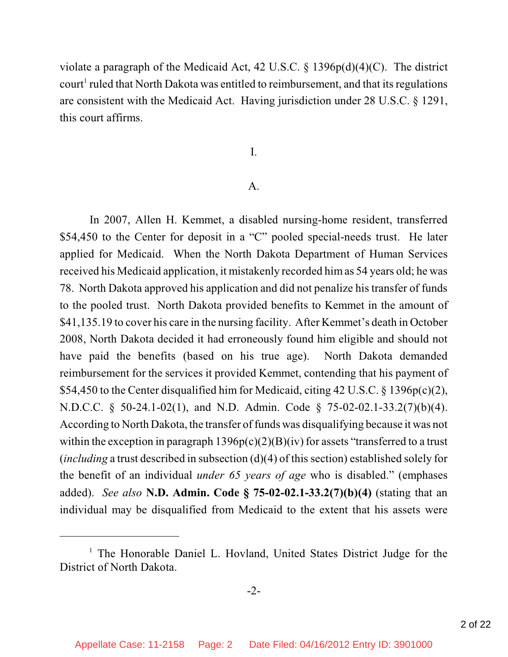violate a paragraph of the Medicaid Act, 42 U.S.C. § 1396p(d)(4)(C). The district court<sup>1</sup> ruled that North Dakota was entitled to reimbursement, and that its regulations are consistent with the Medicaid Act. Having jurisdiction under 28 U.S.C. § 1291, this court affirms.

I.

#### A.

In 2007, Allen H. Kemmet, a disabled nursing-home resident, transferred \$54,450 to the Center for deposit in a "C" pooled special-needs trust. He later applied for Medicaid. When the North Dakota Department of Human Services received his Medicaid application, it mistakenly recorded himas 54 years old; he was 78. North Dakota approved his application and did not penalize his transfer of funds to the pooled trust. North Dakota provided benefits to Kemmet in the amount of \$41,135.19 to cover his care in the nursing facility. After Kemmet's death in October 2008, North Dakota decided it had erroneously found him eligible and should not have paid the benefits (based on his true age). North Dakota demanded reimbursement for the services it provided Kemmet, contending that his payment of \$54,450 to the Center disqualified him for Medicaid, citing 42 U.S.C. § 1396p(c)(2), N.D.C.C. § 50-24.1-02(1), and N.D. Admin. Code § 75-02-02.1-33.2(7)(b)(4). According to North Dakota, the transfer of funds was disqualifying because it was not within the exception in paragraph  $1396p(c)(2)(B)(iv)$  for assets "transferred to a trust (*including* a trust described in subsection (d)(4) of this section) established solely for the benefit of an individual *under 65 years of age* who is disabled." (emphases added). *See also* **N.D. Admin. Code § 75-02-02.1-33.2(7)(b)(4)** (stating that an individual may be disqualified from Medicaid to the extent that his assets were

<sup>&</sup>lt;sup>1</sup> The Honorable Daniel L. Hovland, United States District Judge for the District of North Dakota.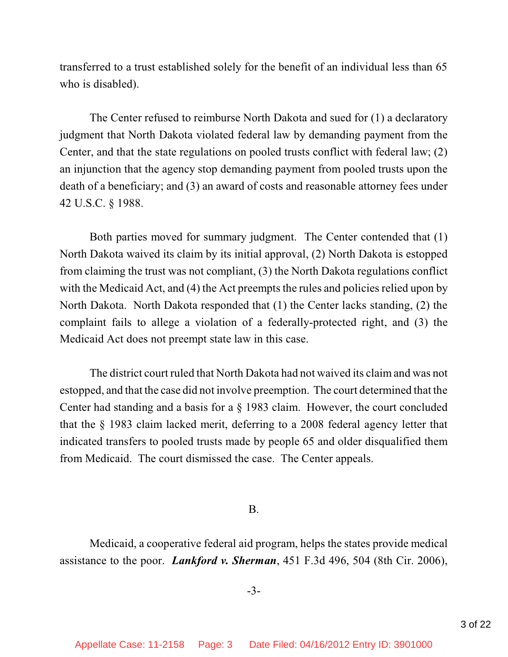transferred to a trust established solely for the benefit of an individual less than 65 who is disabled).

The Center refused to reimburse North Dakota and sued for (1) a declaratory judgment that North Dakota violated federal law by demanding payment from the Center, and that the state regulations on pooled trusts conflict with federal law; (2) an injunction that the agency stop demanding payment from pooled trusts upon the death of a beneficiary; and (3) an award of costs and reasonable attorney fees under 42 U.S.C. § 1988.

Both parties moved for summary judgment. The Center contended that (1) North Dakota waived its claim by its initial approval, (2) North Dakota is estopped from claiming the trust was not compliant, (3) the North Dakota regulations conflict with the Medicaid Act, and (4) the Act preempts the rules and policies relied upon by North Dakota. North Dakota responded that (1) the Center lacks standing, (2) the complaint fails to allege a violation of a federally-protected right, and (3) the Medicaid Act does not preempt state law in this case.

The district court ruled that North Dakota had not waived its claim and was not estopped, and that the case did not involve preemption. The court determined that the Center had standing and a basis for a § 1983 claim. However, the court concluded that the § 1983 claim lacked merit, deferring to a 2008 federal agency letter that indicated transfers to pooled trusts made by people 65 and older disqualified them from Medicaid. The court dismissed the case. The Center appeals.

B.

Medicaid, a cooperative federal aid program, helps the states provide medical assistance to the poor. *Lankford v. Sherman*, 451 F.3d 496, 504 (8th Cir. 2006),

-3-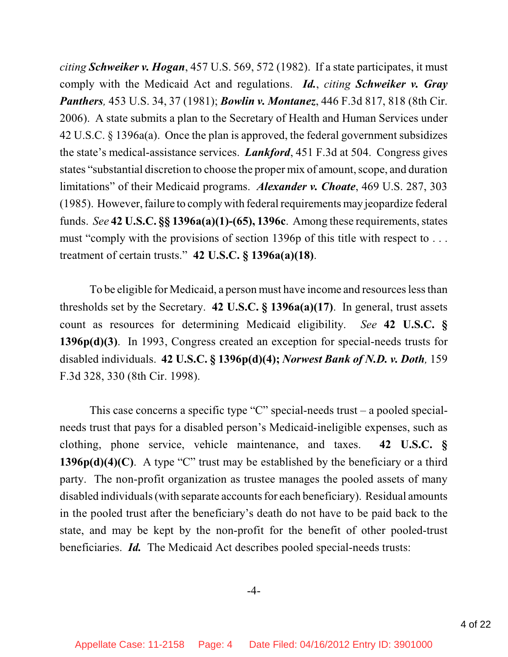*citing Schweiker v. Hogan*, 457 U.S. 569, 572 (1982). If a state participates, it must comply with the Medicaid Act and regulations. *Id.*, *citing Schweiker v. Gray Panthers,* 453 U.S. 34, 37 (1981); *Bowlin v. Montanez*, 446 F.3d 817, 818 (8th Cir. 2006). A state submits a plan to the Secretary of Health and Human Services under 42 U.S.C. § 1396a(a). Once the plan is approved, the federal government subsidizes the state's medical-assistance services. *Lankford*, 451 F.3d at 504. Congress gives states "substantial discretion to choose the proper mix of amount, scope, and duration limitations" of their Medicaid programs. *Alexander v. Choate*, 469 U.S. 287, 303 (1985). However, failure to comply with federal requirements may jeopardize federal funds. *See* **42 U.S.C. §§ 1396a(a)(1)-(65), 1396c**. Among these requirements, states must "comply with the provisions of section 1396p of this title with respect to . . . treatment of certain trusts." **42 U.S.C. § 1396a(a)(18)**.

To be eligible for Medicaid, a person must have income and resources less than thresholds set by the Secretary. **42 U.S.C. § 1396a(a)(17)**. In general, trust assets count as resources for determining Medicaid eligibility. *See* **42 U.S.C. § 1396p(d)(3)**. In 1993, Congress created an exception for special-needs trusts for disabled individuals. **42 U.S.C. § 1396p(d)(4);** *Norwest Bank of N.D. v. Doth,* 159 F.3d 328, 330 (8th Cir. 1998).

This case concerns a specific type "C" special-needs trust – a pooled specialneeds trust that pays for a disabled person's Medicaid-ineligible expenses, such as clothing, phone service, vehicle maintenance, and taxes. **42 U.S.C. § 1396p(d)(4)(C)**. A type "C" trust may be established by the beneficiary or a third party. The non-profit organization as trustee manages the pooled assets of many disabled individuals (with separate accounts for each beneficiary). Residual amounts in the pooled trust after the beneficiary's death do not have to be paid back to the state, and may be kept by the non-profit for the benefit of other pooled-trust beneficiaries. *Id.* The Medicaid Act describes pooled special-needs trusts: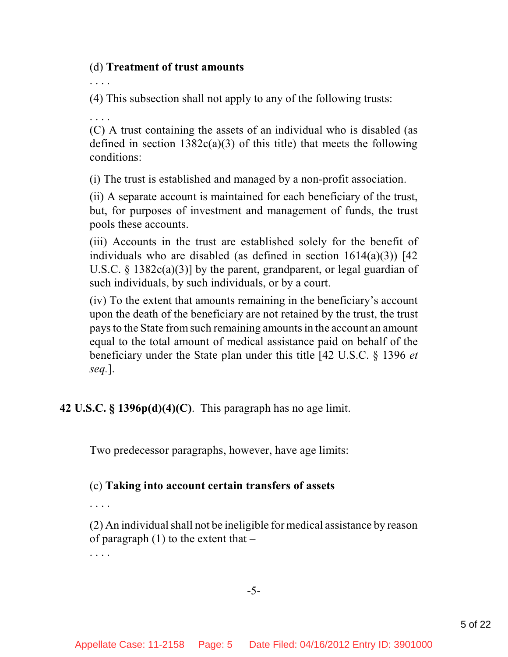### (d) **Treatment of trust amounts**

. . . .

(4) This subsection shall not apply to any of the following trusts:

. . . .

(C) A trust containing the assets of an individual who is disabled (as defined in section  $1382c(a)(3)$  of this title) that meets the following conditions:

(i) The trust is established and managed by a non-profit association.

(ii) A separate account is maintained for each beneficiary of the trust, but, for purposes of investment and management of funds, the trust pools these accounts.

(iii) Accounts in the trust are established solely for the benefit of individuals who are disabled (as defined in section  $1614(a)(3)$ ) [42 U.S.C. § 1382c(a)(3)] by the parent, grandparent, or legal guardian of such individuals, by such individuals, or by a court.

(iv) To the extent that amounts remaining in the beneficiary's account upon the death of the beneficiary are not retained by the trust, the trust pays to the State from such remaining amounts in the account an amount equal to the total amount of medical assistance paid on behalf of the beneficiary under the State plan under this title [42 U.S.C. § 1396 *et seq.*].

**42 U.S.C. § 1396p(d)(4)(C)**.This paragraph has no age limit.

Two predecessor paragraphs, however, have age limits:

# (c) **Taking into account certain transfers of assets**

. . . .

. . . .

 $(2)$  An individual shall not be ineligible for medical assistance by reason of paragraph  $(1)$  to the extent that  $-$ 

-5-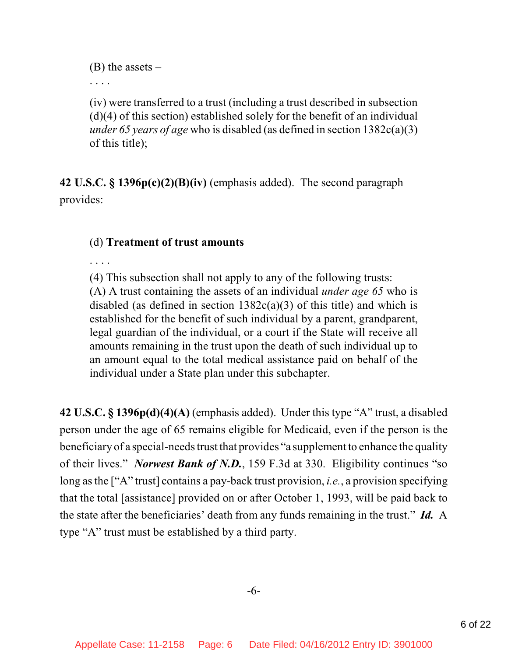$(B)$  the assets –

. . . .

(iv) were transferred to a trust (including a trust described in subsection (d)(4) of this section) established solely for the benefit of an individual *under 65 years of age* who is disabled (as defined in section 1382c(a)(3) of this title);

**42 U.S.C. § 1396p(c)(2)(B)(iv)** (emphasis added). The second paragraph provides:

# (d) **Treatment of trust amounts**

. . . .

(4) This subsection shall not apply to any of the following trusts:

(A) A trust containing the assets of an individual *under age 65* who is disabled (as defined in section  $1382c(a)(3)$  of this title) and which is established for the benefit of such individual by a parent, grandparent, legal guardian of the individual, or a court if the State will receive all amounts remaining in the trust upon the death of such individual up to an amount equal to the total medical assistance paid on behalf of the individual under a State plan under this subchapter.

**42 U.S.C. § 1396p(d)(4)(A)** (emphasis added). Under this type "A" trust, a disabled person under the age of 65 remains eligible for Medicaid, even if the person is the beneficiary of a special-needs trust that provides "a supplement to enhance the quality of their lives." *Norwest Bank of N.D.*, 159 F.3d at 330. Eligibility continues "so long asthe ["A" trust] contains a pay-back trust provision, *i.e.*, a provision specifying that the total [assistance] provided on or after October 1, 1993, will be paid back to the state after the beneficiaries' death from any funds remaining in the trust." *Id.* A type "A" trust must be established by a third party.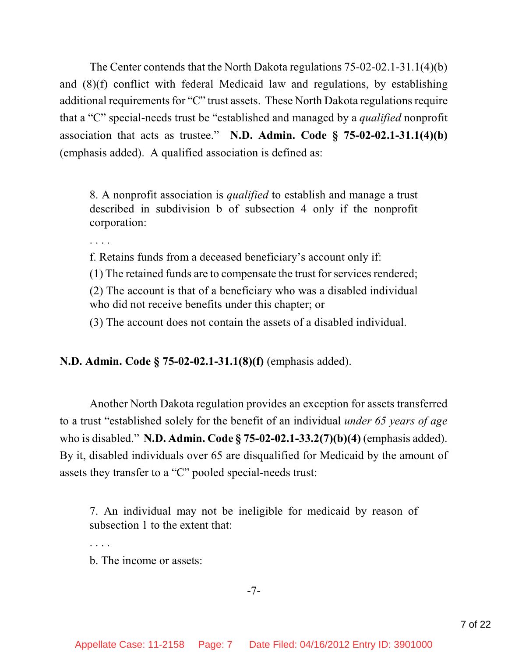The Center contends that the North Dakota regulations 75-02-02.1-31.1(4)(b) and (8)(f) conflict with federal Medicaid law and regulations, by establishing additional requirements for "C" trust assets. These North Dakota regulations require that a "C" special-needs trust be "established and managed by a *qualified* nonprofit association that acts as trustee." **N.D. Admin. Code § 75-02-02.1-31.1(4)(b)** (emphasis added).A qualified association is defined as:

8. A nonprofit association is *qualified* to establish and manage a trust described in subdivision b of subsection 4 only if the nonprofit corporation:

. . . .

f. Retains funds from a deceased beneficiary's account only if:

(1) The retained funds are to compensate the trust for services rendered;

(2) The account is that of a beneficiary who was a disabled individual who did not receive benefits under this chapter; or

(3) The account does not contain the assets of a disabled individual.

**N.D. Admin. Code § 75-02-02.1-31.1(8)(f)** (emphasis added).

Another North Dakota regulation provides an exception for assets transferred to a trust "established solely for the benefit of an individual *under 65 years of age*  who is disabled." **N.D. Admin. Code § 75-02-02.1-33.2(7)(b)(4)** (emphasis added). By it, disabled individuals over 65 are disqualified for Medicaid by the amount of assets they transfer to a "C" pooled special-needs trust:

7. An individual may not be ineligible for medicaid by reason of subsection 1 to the extent that:

. . . .

b. The income or assets:

-7-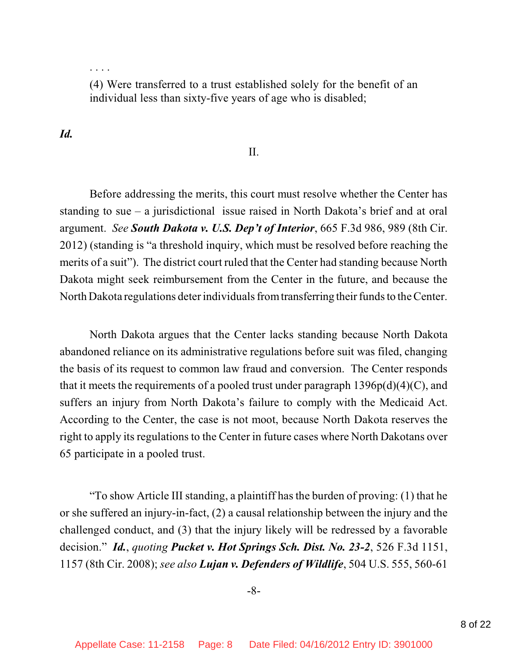. . . .

(4) Were transferred to a trust established solely for the benefit of an individual less than sixty-five years of age who is disabled;

### *Id.*

#### II.

Before addressing the merits, this court must resolve whether the Center has standing to sue – a jurisdictional issue raised in North Dakota's brief and at oral argument. *See South Dakota v. U.S. Dep't of Interior*, 665 F.3d 986, 989 (8th Cir. 2012) (standing is "a threshold inquiry, which must be resolved before reaching the merits of a suit"). The district court ruled that the Center had standing because North Dakota might seek reimbursement from the Center in the future, and because the North Dakota regulations deter individuals fromtransferring their funds to the Center.

North Dakota argues that the Center lacks standing because North Dakota abandoned reliance on its administrative regulations before suit was filed, changing the basis of its request to common law fraud and conversion. The Center responds that it meets the requirements of a pooled trust under paragraph  $1396p(d)(4)(C)$ , and suffers an injury from North Dakota's failure to comply with the Medicaid Act. According to the Center, the case is not moot, because North Dakota reserves the right to apply its regulations to the Center in future cases where North Dakotans over 65 participate in a pooled trust.

"To show Article III standing, a plaintiff has the burden of proving: (1) that he or she suffered an injury-in-fact, (2) a causal relationship between the injury and the challenged conduct, and (3) that the injury likely will be redressed by a favorable decision." *Id.*, *quoting Pucket v. Hot Springs Sch. Dist. No. 23-2*, 526 F.3d 1151, 1157 (8th Cir. 2008); *see also Lujan v. Defenders of Wildlife*, 504 U.S. 555, 560-61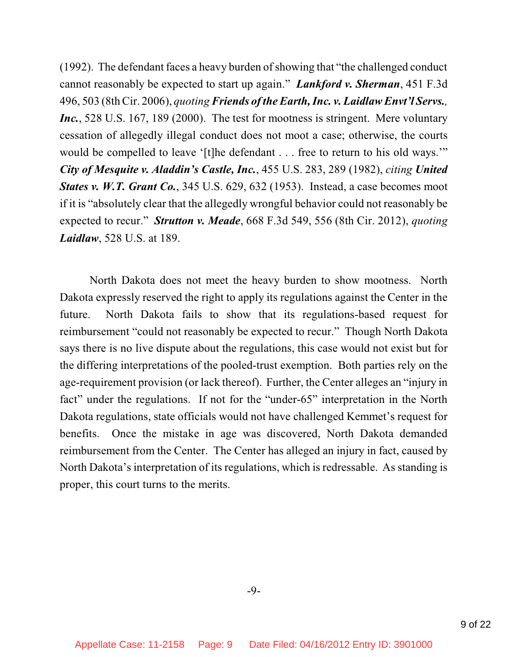(1992). The defendant faces a heavy burden of showing that "the challenged conduct" cannot reasonably be expected to start up again." *Lankford v. Sherman*, 451 F.3d 496, 503 (8thCir. 2006), *quoting Friends of the Earth, Inc. v. Laidlaw Envt'l Servs., Inc.*, 528 U.S. 167, 189 (2000). The test for mootness is stringent. Mere voluntary cessation of allegedly illegal conduct does not moot a case; otherwise, the courts would be compelled to leave '[t]he defendant . . . free to return to his old ways." *City of Mesquite v. Aladdin's Castle, Inc.*, 455 U.S. 283, 289 (1982), *citing United States v. W.T. Grant Co.*, 345 U.S. 629, 632 (1953). Instead, a case becomes moot if it is "absolutely clear that the allegedly wrongful behavior could not reasonably be expected to recur." *Strutton v. Meade*, 668 F.3d 549, 556 (8th Cir. 2012), *quoting Laidlaw*, 528 U.S. at 189.

North Dakota does not meet the heavy burden to show mootness. North Dakota expressly reserved the right to apply its regulations against the Center in the future. North Dakota fails to show that its regulations-based request for reimbursement "could not reasonably be expected to recur." Though North Dakota says there is no live dispute about the regulations, this case would not exist but for the differing interpretations of the pooled-trust exemption. Both parties rely on the age-requirement provision (or lack thereof). Further, the Center alleges an "injury in fact" under the regulations. If not for the "under-65" interpretation in the North Dakota regulations, state officials would not have challenged Kemmet's request for benefits. Once the mistake in age was discovered, North Dakota demanded reimbursement from the Center. The Center has alleged an injury in fact, caused by North Dakota's interpretation of its regulations, which is redressable. As standing is proper, this court turns to the merits.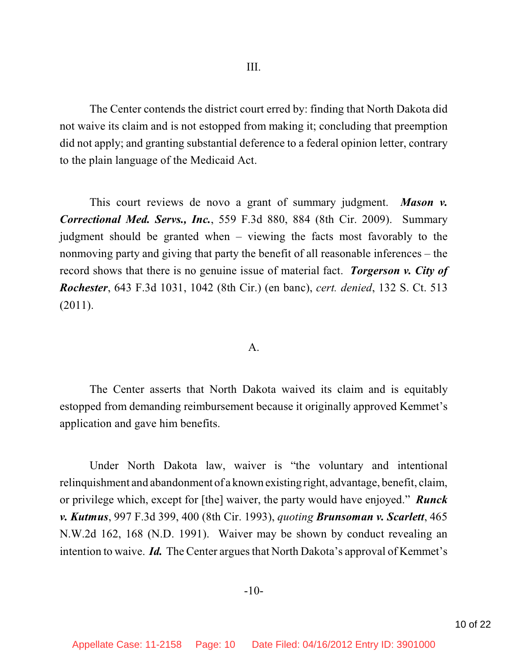The Center contends the district court erred by: finding that North Dakota did not waive its claim and is not estopped from making it; concluding that preemption did not apply; and granting substantial deference to a federal opinion letter, contrary to the plain language of the Medicaid Act.

This court reviews de novo a grant of summary judgment. *Mason v. Correctional Med. Servs., Inc.*, 559 F.3d 880, 884 (8th Cir. 2009). Summary judgment should be granted when – viewing the facts most favorably to the nonmoving party and giving that party the benefit of all reasonable inferences – the record shows that there is no genuine issue of material fact. *Torgerson v. City of Rochester*, 643 F.3d 1031, 1042 (8th Cir.) (en banc), *cert. denied*, 132 S. Ct. 513 (2011).

#### A.

The Center asserts that North Dakota waived its claim and is equitably estopped from demanding reimbursement because it originally approved Kemmet's application and gave him benefits.

Under North Dakota law, waiver is "the voluntary and intentional relinquishment and abandonment of a known existing right, advantage, benefit, claim, or privilege which, except for [the] waiver, the party would have enjoyed." *Runck v. Kutmus*, 997 F.3d 399, 400 (8th Cir. 1993), *quoting Brunsoman v. Scarlett*, 465 N.W.2d 162, 168 (N.D. 1991). Waiver may be shown by conduct revealing an intention to waive. *Id.* The Center argues that North Dakota's approval of Kemmet's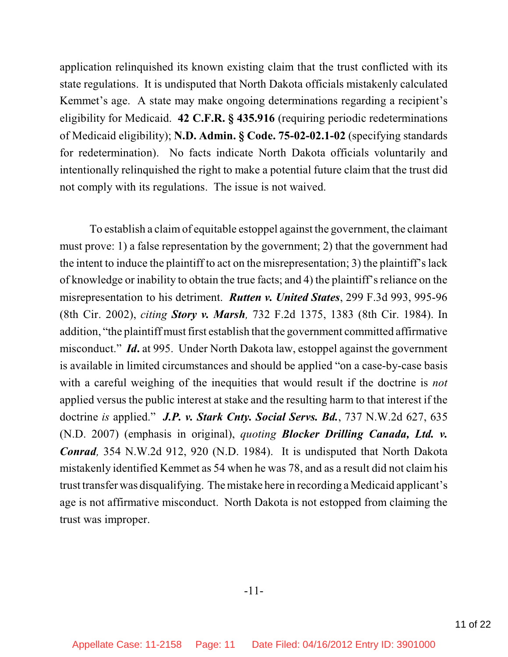application relinquished its known existing claim that the trust conflicted with its state regulations. It is undisputed that North Dakota officials mistakenly calculated Kemmet's age. A state may make ongoing determinations regarding a recipient's eligibility for Medicaid. **42 C.F.R. § 435.916** (requiring periodic redeterminations of Medicaid eligibility); **N.D. Admin. § Code. 75-02-02.1-02** (specifying standards for redetermination). No facts indicate North Dakota officials voluntarily and intentionally relinquished the right to make a potential future claim that the trust did not comply with its regulations. The issue is not waived.

To establish a claimof equitable estoppel against the government, the claimant must prove: 1) a false representation by the government; 2) that the government had the intent to induce the plaintiff to act on the misrepresentation; 3) the plaintiff's lack of knowledge or inability to obtain the true facts; and 4) the plaintiff's reliance on the misrepresentation to his detriment. *Rutten v. United States*, 299 F.3d 993, 995-96 (8th Cir. 2002), *citing Story v. Marsh,* 732 F.2d 1375, 1383 (8th Cir. 1984). In addition, "the plaintiff must first establish that the government committed affirmative misconduct." *Id***.** at 995. Under North Dakota law, estoppel against the government is available in limited circumstances and should be applied "on a case-by-case basis with a careful weighing of the inequities that would result if the doctrine is *not* applied versus the public interest at stake and the resulting harm to that interest if the doctrine *is* applied." *J.P. v. Stark Cnty. Social Servs. Bd.*, 737 N.W.2d 627, 635 (N.D. 2007) (emphasis in original), *quoting Blocker Drilling Canada, Ltd. v. Conrad,* 354 N.W.2d 912, 920 (N.D. 1984). It is undisputed that North Dakota mistakenly identified Kemmet as 54 when he was 78, and as a result did not claim his trust transfer was disqualifying. Themistake here in recording a Medicaid applicant's age is not affirmative misconduct. North Dakota is not estopped from claiming the trust was improper.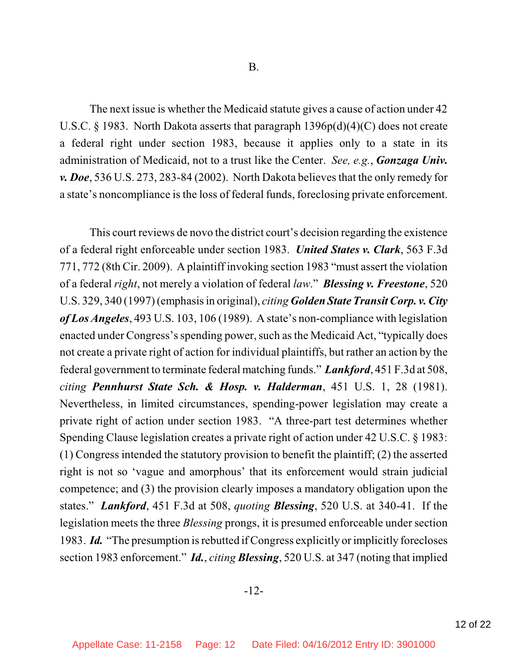The next issue is whether the Medicaid statute gives a cause of action under 42 U.S.C. § 1983. North Dakota asserts that paragraph  $1396p(d)(4)(C)$  does not create a federal right under section 1983, because it applies only to a state in its administration of Medicaid, not to a trust like the Center. *See, e.g.*, *Gonzaga Univ. v. Doe*, 536 U.S. 273, 283-84 (2002). North Dakota believes that the only remedy for a state's noncompliance is the loss of federal funds, foreclosing private enforcement.

This court reviews de novo the district court's decision regarding the existence of a federal right enforceable under section 1983. *United States v. Clark*, 563 F.3d 771, 772 (8th Cir. 2009). A plaintiff invoking section 1983 "must assert the violation of a federal *right*, not merely a violation of federal *law*." *Blessing v. Freestone*, 520 U.S. 329, 340 (1997)(emphasisin original), *citing Golden State TransitCorp. v. City of Los Angeles*, 493 U.S. 103, 106 (1989). A state's non-compliance with legislation enacted under Congress's spending power, such asthe Medicaid Act, "typically does not create a private right of action for individual plaintiffs, but rather an action by the federal government to terminate federal matching funds." *Lankford*, 451 F.3d at 508, *citing Pennhurst State Sch. & Hosp. v. Halderman*, 451 U.S. 1, 28 (1981). Nevertheless, in limited circumstances, spending-power legislation may create a private right of action under section 1983. "A three-part test determines whether Spending Clause legislation creates a private right of action under 42 U.S.C. § 1983: (1) Congress intended the statutory provision to benefit the plaintiff; (2) the asserted right is not so 'vague and amorphous' that its enforcement would strain judicial competence; and (3) the provision clearly imposes a mandatory obligation upon the states." *Lankford*, 451 F.3d at 508, *quoting Blessing*, 520 U.S. at 340-41. If the legislation meets the three *Blessing* prongs, it is presumed enforceable under section 1983. *Id.* "The presumption isrebutted if Congress explicitly orimplicitly forecloses section 1983 enforcement." *Id.*, *citing Blessing*, 520 U.S. at 347 (noting that implied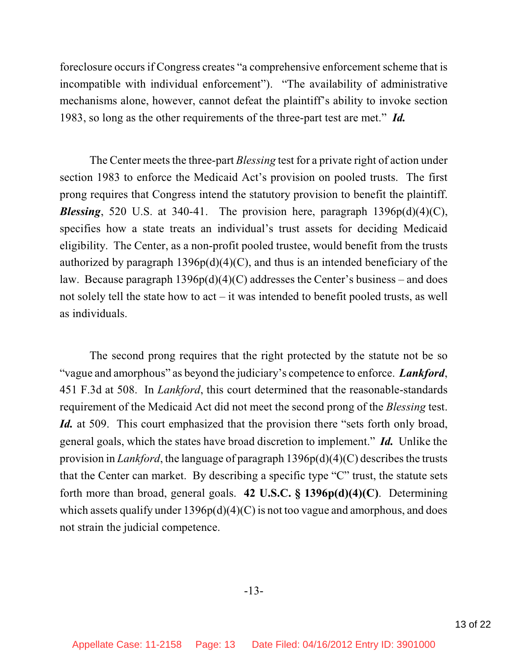foreclosure occurs if Congress creates "a comprehensive enforcement scheme that is incompatible with individual enforcement"). "The availability of administrative mechanisms alone, however, cannot defeat the plaintiff's ability to invoke section 1983, so long as the other requirements of the three-part test are met." *Id.*

The Center meets the three-part *Blessing* test for a private right of action under section 1983 to enforce the Medicaid Act's provision on pooled trusts. The first prong requires that Congress intend the statutory provision to benefit the plaintiff. *Blessing*, 520 U.S. at 340-41. The provision here, paragraph  $1396p(d)(4)(C)$ , specifies how a state treats an individual's trust assets for deciding Medicaid eligibility. The Center, as a non-profit pooled trustee, would benefit from the trusts authorized by paragraph  $1396p(d)(4)(C)$ , and thus is an intended beneficiary of the law. Because paragraph  $1396p(d)(4)(C)$  addresses the Center's business – and does not solely tell the state how to act – it was intended to benefit pooled trusts, as well as individuals.

The second prong requires that the right protected by the statute not be so "vague and amorphous" as beyond the judiciary's competence to enforce. *Lankford*, 451 F.3d at 508. In *Lankford*, this court determined that the reasonable-standards requirement of the Medicaid Act did not meet the second prong of the *Blessing* test. *Id.* at 509. This court emphasized that the provision there "sets forth only broad, general goals, which the states have broad discretion to implement." *Id.* Unlike the provision in *Lankford*, the language of paragraph  $1396p(d)(4)(C)$  describes the trusts that the Center can market. By describing a specific type "C" trust, the statute sets forth more than broad, general goals. **42 U.S.C. § 1396p(d)(4)(C)**. Determining which assets qualify under  $1396p(d)(4)(C)$  is not too vague and amorphous, and does not strain the judicial competence.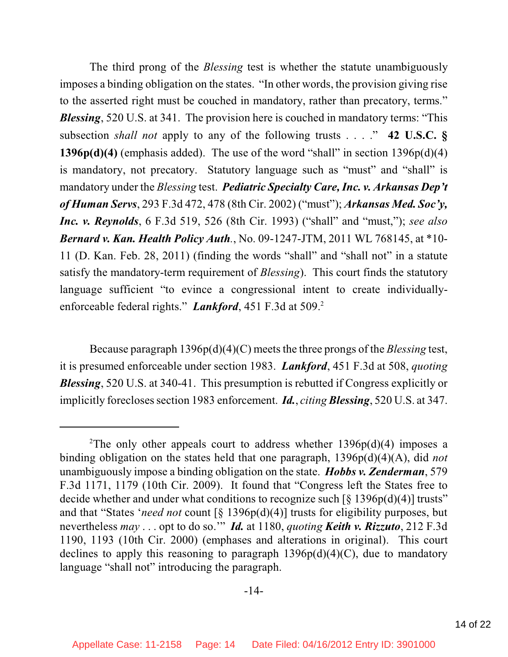The third prong of the *Blessing* test is whether the statute unambiguously imposes a binding obligation on the states. "In other words, the provision giving rise to the asserted right must be couched in mandatory, rather than precatory, terms." *Blessing*, 520 U.S. at 341. The provision here is couched in mandatory terms: "This subsection *shall not* apply to any of the following trusts . . . ." **42 U.S.C. § 1396p(d)(4)** (emphasis added). The use of the word "shall" in section 1396p(d)(4) is mandatory, not precatory. Statutory language such as "must" and "shall" is mandatory under the *Blessing* test. *Pediatric Specialty Care, Inc. v. Arkansas Dep't of Human Servs*, 293 F.3d 472, 478 (8th Cir. 2002) ("must"); *Arkansas Med. Soc'y, Inc. v. Reynolds*, 6 F.3d 519, 526 (8th Cir. 1993) ("shall" and "must,"); *see also Bernard v. Kan. Health Policy Auth.*, No. 09-1247-JTM, 2011 WL 768145, at \*10- 11 (D. Kan. Feb. 28, 2011) (finding the words "shall" and "shall not" in a statute satisfy the mandatory-term requirement of *Blessing*). This court finds the statutory language sufficient "to evince a congressional intent to create individuallyenforceable federal rights." *Lankford*, 451 F.3d at 509. 2

Because paragraph 1396p(d)(4)(C) meets the three prongs of the *Blessing* test, it is presumed enforceable under section 1983. *Lankford*, 451 F.3d at 508, *quoting Blessing*, 520 U.S. at 340-41. This presumption is rebutted if Congress explicitly or implicitly forecloses section 1983 enforcement. *Id., citing Blessing*, 520 U.S. at 347.

<sup>&</sup>lt;sup>2</sup>The only other appeals court to address whether  $1396p(d)(4)$  imposes a binding obligation on the states held that one paragraph, 1396p(d)(4)(A), did *not* unambiguously impose a binding obligation on the state. *Hobbs v. Zenderman*, 579 F.3d 1171, 1179 (10th Cir. 2009). It found that "Congress left the States free to decide whether and under what conditions to recognize such  $\lceil \xi \rceil 396p(d)(4) \rceil$  trusts" and that "States '*need not* count [§ 1396p(d)(4)] trusts for eligibility purposes, but nevertheless *may* . . . opt to do so.'" *Id.* at 1180, *quoting Keith v. Rizzuto*, 212 F.3d 1190, 1193 (10th Cir. 2000) (emphases and alterations in original). This court declines to apply this reasoning to paragraph  $1396p(d)(4)(C)$ , due to mandatory language "shall not" introducing the paragraph.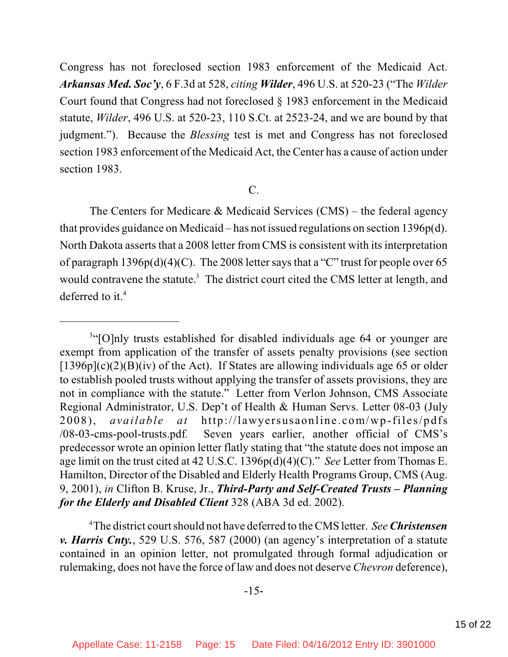Congress has not foreclosed section 1983 enforcement of the Medicaid Act. *Arkansas Med. Soc'y*, 6 F.3d at 528, *citing Wilder*, 496 U.S. at 520-23 ("The *Wilder* Court found that Congress had not foreclosed § 1983 enforcement in the Medicaid statute, *Wilder*, 496 U.S. at 520-23, 110 S.Ct. at 2523-24, and we are bound by that judgment."). Because the *Blessing* test is met and Congress has not foreclosed section 1983 enforcement of the Medicaid Act, the Center has a cause of action under section 1983.

#### C.

The Centers for Medicare  $\&$  Medicaid Services (CMS) – the federal agency that provides guidance on Medicaid – has not issued regulations on section 1396p(d). North Dakota asserts that a 2008 letter from CMS is consistent with its interpretation of paragraph 1396p(d)(4)(C). The 2008 letter says that a "C" trust for people over 65 would contravene the statute.<sup>3</sup> The district court cited the CMS letter at length, and deferred to it. 4

The district court should not have deferred to the CMS letter. *SeeChristensen* <sup>4</sup> *v. Harris Cnty.*, 529 U.S. 576, 587 (2000) (an agency's interpretation of a statute contained in an opinion letter, not promulgated through formal adjudication or rulemaking, does not have the force of law and does not deserve *Chevron* deference),

<sup>&</sup>lt;sup>3"</sup>[O]nly trusts established for disabled individuals age 64 or younger are exempt from application of the transfer of assets penalty provisions (see section  $[1396p](c)(2)(B)(iv)$  of the Act). If States are allowing individuals age 65 or older to establish pooled trusts without applying the transfer of assets provisions, they are not in compliance with the statute." Letter from Verlon Johnson, CMS Associate Regional Administrator, U.S. Dep't of Health & Human Servs. Letter 08-03 (July 2008), *available at* http://lawyersusaonline.com/wp-files/pdfs /08-03-cms-pool-trusts.pdf*.* Seven years earlier, another official of CMS's predecessor wrote an opinion letter flatly stating that "the statute does not impose an age limit on the trust cited at 42 U.S.C. 1396p(d)(4)(C)." *See* Letter from Thomas E. Hamilton, Director of the Disabled and Elderly Health Programs Group, CMS (Aug. 9, 2001), *in* Clifton B. Kruse, Jr., *Third-Party and Self-Created Trusts – Planning for the Elderly and Disabled Client* 328 (ABA 3d ed. 2002).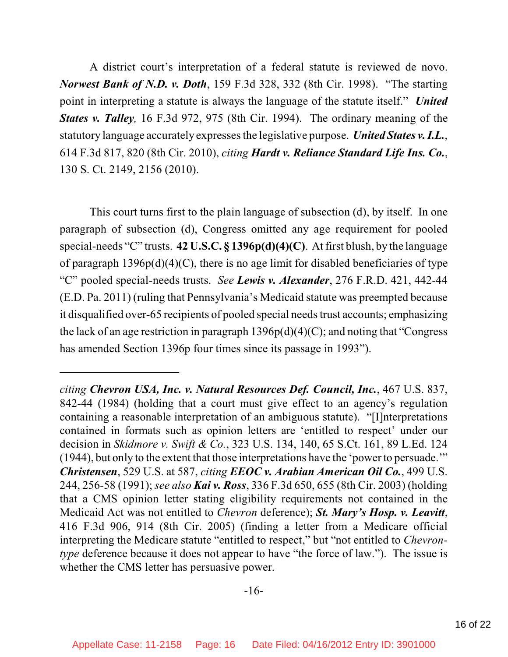A district court's interpretation of a federal statute is reviewed de novo. *Norwest Bank of N.D. v. Doth*, 159 F.3d 328, 332 (8th Cir. 1998). "The starting point in interpreting a statute is always the language of the statute itself." *United States v. Talley,* 16 F.3d 972, 975 (8th Cir. 1994). The ordinary meaning of the statutory language accurately expresses the legislative purpose. *United States v. I.L.*, 614 F.3d 817, 820 (8th Cir. 2010), *citing Hardt v. Reliance Standard Life Ins. Co.*, 130 S. Ct. 2149, 2156 (2010).

This court turns first to the plain language of subsection (d), by itself. In one paragraph of subsection (d), Congress omitted any age requirement for pooled special-needs "C" trusts. **42 U.S.C. § 1396p(d)(4)(C)**. At first blush, by the language of paragraph  $1396p(d)(4)(C)$ , there is no age limit for disabled beneficiaries of type "C" pooled special-needs trusts. *See Lewis v. Alexander*, 276 F.R.D. 421, 442-44 (E.D. Pa. 2011) (ruling that Pennsylvania's Medicaid statute was preempted because it disqualified over-65 recipients of pooled special needs trust accounts; emphasizing the lack of an age restriction in paragraph  $1396p(d)(4)(C)$ ; and noting that "Congress" has amended Section 1396p four times since its passage in 1993").

*citing Chevron USA, Inc. v. Natural Resources Def. Council, Inc.*, 467 U.S. 837, 842-44 (1984) (holding that a court must give effect to an agency's regulation containing a reasonable interpretation of an ambiguous statute). "[I]nterpretations contained in formats such as opinion letters are 'entitled to respect' under our decision in *Skidmore v. Swift & Co.*, 323 U.S. 134, 140, 65 S.Ct. 161, 89 L.Ed. 124 (1944), but only to the extent that those interpretations have the 'power to persuade.'" *Christensen*, 529 U.S. at 587, *citing EEOC v. Arabian American Oil Co.*, 499 U.S. 244, 256-58 (1991); *see also Kai v. Ross*, 336 F.3d 650, 655 (8th Cir. 2003) (holding that a CMS opinion letter stating eligibility requirements not contained in the Medicaid Act was not entitled to *Chevron* deference); *St. Mary's Hosp. v. Leavitt*, 416 F.3d 906, 914 (8th Cir. 2005) (finding a letter from a Medicare official interpreting the Medicare statute "entitled to respect," but "not entitled to *Chevrontype* deference because it does not appear to have "the force of law."). The issue is whether the CMS letter has persuasive power.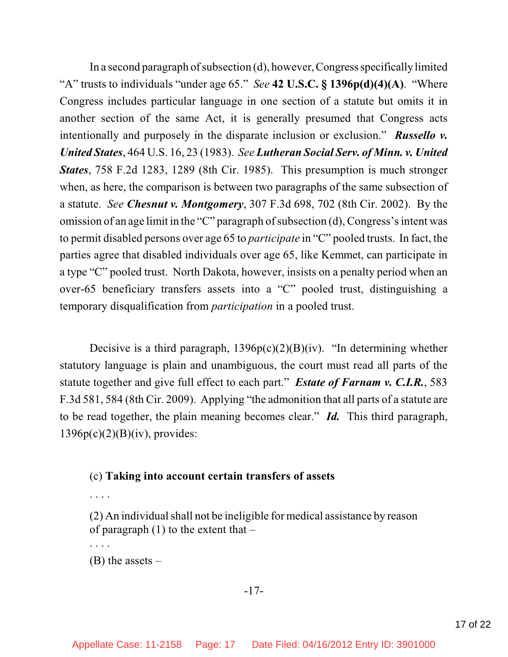In a second paragraph of subsection  $(d)$ , however, Congress specifically limited "A" trusts to individuals "under age 65." *See* **42 U.S.C. § 1396p(d)(4)(A)**. "Where Congress includes particular language in one section of a statute but omits it in another section of the same Act, it is generally presumed that Congress acts intentionally and purposely in the disparate inclusion or exclusion." *Russello v. United States*, 464 U.S. 16, 23 (1983). *See Lutheran Social Serv. of Minn. v. United States*, 758 F.2d 1283, 1289 (8th Cir. 1985). This presumption is much stronger when, as here, the comparison is between two paragraphs of the same subsection of a statute. *See Chesnut v. Montgomery*, 307 F.3d 698, 702 (8th Cir. 2002). By the omission of an age limit in the "C" paragraph of subsection  $(d)$ , Congress's intent was to permit disabled persons over age 65 to *participate* in "C" pooled trusts. In fact, the parties agree that disabled individuals over age 65, like Kemmet, can participate in a type "C" pooled trust. North Dakota, however, insists on a penalty period when an over-65 beneficiary transfers assets into a "C" pooled trust, distinguishing a temporary disqualification from *participation* in a pooled trust.

Decisive is a third paragraph,  $1396p(c)(2)(B)(iv)$ . "In determining whether statutory language is plain and unambiguous, the court must read all parts of the statute together and give full effect to each part." *Estate of Farnam v. C.I.R.*, 583 F.3d 581, 584 (8th Cir. 2009). Applying "the admonition that all parts of a statute are to be read together, the plain meaning becomes clear." *Id.* This third paragraph,  $1396p(c)(2)(B)(iv)$ , provides:

### (c) **Taking into account certain transfers of assets**

. . . .

. . . .

 $(2)$  An individual shall not be ineligible for medical assistance by reason of paragraph  $(1)$  to the extent that  $-$ 

 $(B)$  the assets –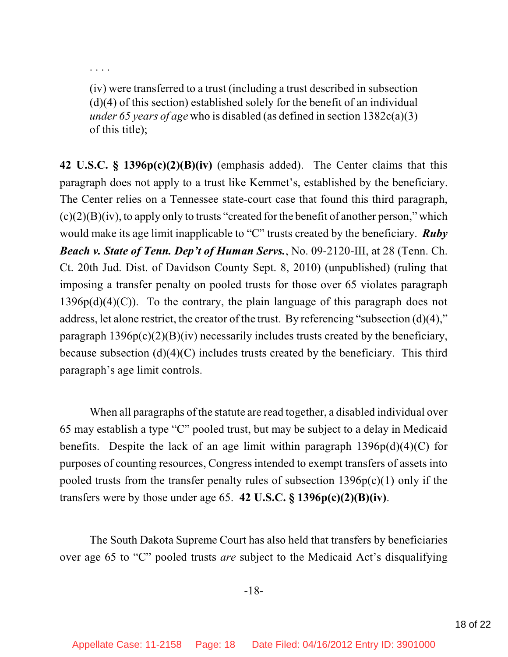. . . .

(iv) were transferred to a trust (including a trust described in subsection  $(d)(4)$  of this section) established solely for the benefit of an individual *under 65 years of age* who is disabled (as defined in section 1382c(a)(3) of this title);

**42 U.S.C. § 1396p(c)(2)(B)(iv)** (emphasis added). The Center claims that this paragraph does not apply to a trust like Kemmet's, established by the beneficiary. The Center relies on a Tennessee state-court case that found this third paragraph,  $(c)(2)(B)(iv)$ , to apply only to trusts "created for the benefit of another person," which would make its age limit inapplicable to "C" trusts created by the beneficiary. *Ruby Beach v. State of Tenn. Dep't of Human Servs.*, No. 09-2120-III, at 28 (Tenn. Ch. Ct. 20th Jud. Dist. of Davidson County Sept. 8, 2010) (unpublished) (ruling that imposing a transfer penalty on pooled trusts for those over 65 violates paragraph  $1396p(d)(4)(C)$ . To the contrary, the plain language of this paragraph does not address, let alone restrict, the creator of the trust. By referencing "subsection (d)(4)," paragraph  $1396p(c)(2)(B)(iv)$  necessarily includes trusts created by the beneficiary, because subsection (d)(4)(C) includes trusts created by the beneficiary. This third paragraph's age limit controls.

When all paragraphs of the statute are read together, a disabled individual over 65 may establish a type "C" pooled trust, but may be subject to a delay in Medicaid benefits. Despite the lack of an age limit within paragraph  $1396p(d)(4)(C)$  for purposes of counting resources, Congress intended to exempt transfers of assets into pooled trusts from the transfer penalty rules of subsection  $1396p(c)(1)$  only if the transfers were by those under age 65. **42 U.S.C. § 1396p(c)(2)(B)(iv)**.

The South Dakota Supreme Court has also held that transfers by beneficiaries over age 65 to "C" pooled trusts *are* subject to the Medicaid Act's disqualifying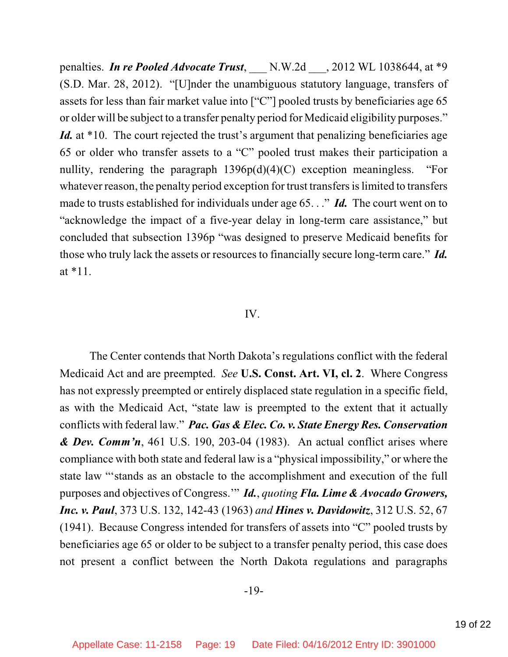penalties. *In re Pooled Advocate Trust*, \_\_\_ N.W.2d \_\_\_, 2012 WL 1038644, at \*9 (S.D. Mar. 28, 2012). "[U]nder the unambiguous statutory language, transfers of assets for less than fair market value into ["C"] pooled trusts by beneficiaries age 65 or older will be subject to a transfer penalty period for Medicaid eligibility purposes." *Id.* at \*10. The court rejected the trust's argument that penalizing beneficiaries age 65 or older who transfer assets to a "C" pooled trust makes their participation a nullity, rendering the paragraph  $1396p(d)(4)(C)$  exception meaningless. "For whatever reason, the penalty period exception for trust transfers is limited to transfers made to trusts established for individuals under age 65. . ." *Id.* The court went on to "acknowledge the impact of a five-year delay in long-term care assistance," but concluded that subsection 1396p "was designed to preserve Medicaid benefits for those who truly lack the assets or resources to financially secure long-term care." *Id.* at \*11.

#### IV.

The Center contends that North Dakota's regulations conflict with the federal Medicaid Act and are preempted. *See* **U.S. Const. Art. VI, cl. 2**. Where Congress has not expressly preempted or entirely displaced state regulation in a specific field, as with the Medicaid Act, "state law is preempted to the extent that it actually conflicts with federal law." *Pac. Gas & Elec. Co. v. State Energy Res. Conservation & Dev. Comm'n*, 461 U.S. 190, 203-04 (1983). An actual conflict arises where compliance with both state and federal law is a "physical impossibility," or where the state law "'stands as an obstacle to the accomplishment and execution of the full purposes and objectives of Congress.'" *Id.*, *quoting Fla. Lime & Avocado Growers, Inc. v. Paul*, 373 U.S. 132, 142-43 (1963) *and Hines v. Davidowitz*, 312 U.S. 52, 67 (1941). Because Congress intended for transfers of assets into "C" pooled trusts by beneficiaries age 65 or older to be subject to a transfer penalty period, this case does not present a conflict between the North Dakota regulations and paragraphs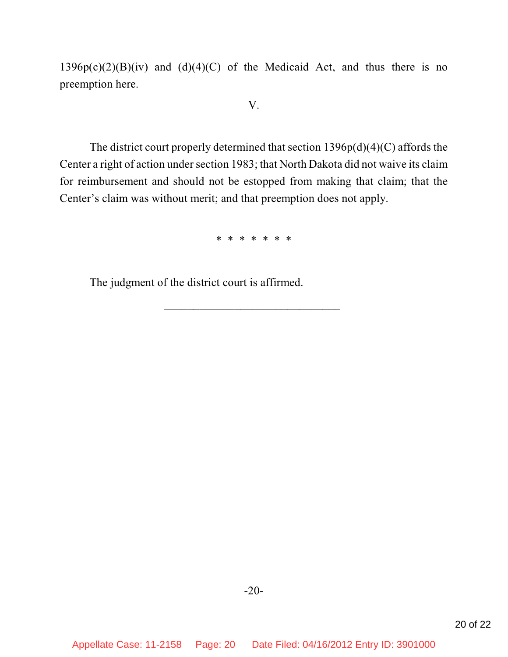$1396p(c)(2)(B)(iv)$  and  $(d)(4)(C)$  of the Medicaid Act, and thus there is no preemption here.

#### V.

The district court properly determined that section 1396p(d)(4)(C) affords the Center a right of action under section 1983; that North Dakota did not waive its claim for reimbursement and should not be estopped from making that claim; that the Center's claim was without merit; and that preemption does not apply.

\* \* \* \* \* \* \*

\_\_\_\_\_\_\_\_\_\_\_\_\_\_\_\_\_\_\_\_\_\_\_\_\_\_\_\_\_\_

The judgment of the district court is affirmed.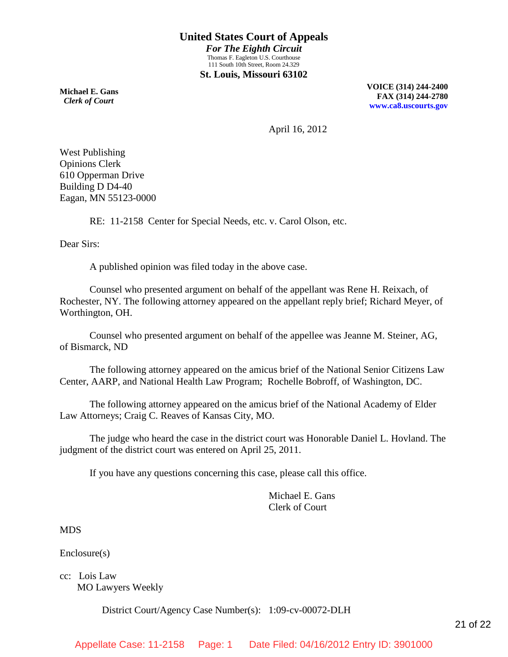**Michael E. Gans**  *Clerk of Court*

**VOICE (314) 244-2400 FAX (314) 244-2780 [www.ca8.uscourts.gov](http://www.ca8.uscourts.gov/)**

April 16, 2012

West Publishing Opinions Clerk 610 Opperman Drive Building D D4-40 Eagan, MN 55123-0000

RE: 11-2158 Center for Special Needs, etc. v. Carol Olson, etc.

Dear Sirs:

A published opinion was filed today in the above case.

Counsel who presented argument on behalf of the appellant was Rene H. Reixach, of Rochester, NY. The following attorney appeared on the appellant reply brief; Richard Meyer, of Worthington, OH.

Counsel who presented argument on behalf of the appellee was Jeanne M. Steiner, AG, of Bismarck, ND

The following attorney appeared on the amicus brief of the National Senior Citizens Law Center, AARP, and National Health Law Program; Rochelle Bobroff, of Washington, DC.

The following attorney appeared on the amicus brief of the National Academy of Elder Law Attorneys; Craig C. Reaves of Kansas City, MO.

The judge who heard the case in the district court was Honorable Daniel L. Hovland. The judgment of the district court was entered on April 25, 2011.

If you have any questions concerning this case, please call this office.

Michael E. Gans Clerk of Court

MDS

Enclosure(s)

cc: Lois Law MO Lawyers Weekly

District Court/Agency Case Number(s): 1:09-cv-00072-DLH